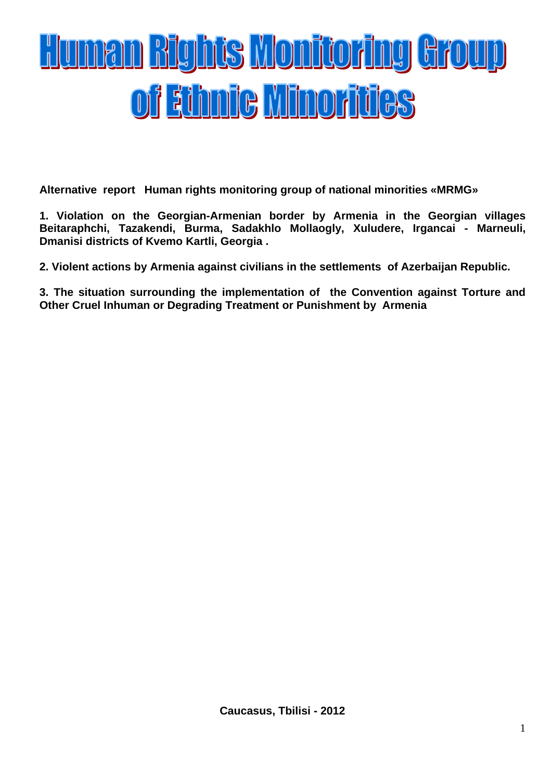# <u>Human Bights Monitoring Group</u> of Ethnic Minorities

**Alternative report Human rights monitoring group of national minorities «MRMG»** 

**1. Violation on the Georgian-Armenian border by Armenia in the Georgian villages Beitaraphchi, Tazakendi, Burma, Sadakhlo Mollaogly, Xuludere, Irgancai - Marneuli, Dmanisi districts of Kvemo Kartli, Georgia .**

**2. Violent actions by Armenia against civilians in the settlements of Azerbaijan Republic.**

**3. The situation surrounding the implementation of the Convention against Torture and Other Cruel Inhuman or Degrading Treatment or Punishment by Armenia**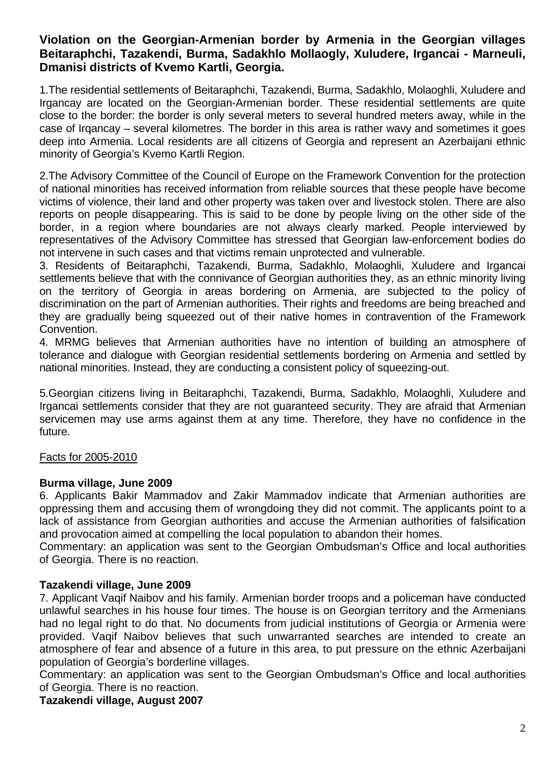# **Violation on the Georgian-Armenian border by Armenia in the Georgian villages Beitaraphchi, Tazakendi, Burma, Sadakhlo Mollaogly, Xuludere, Irgancai - Marneuli, Dmanisi districts of Kvemo Kartli, Georgia.**

1.The residential settlements of Beitaraphchi, Tazakendi, Burma, Sadakhlo, Molaoghli, Xuludere and Irgancay are located on the Georgian-Armenian border. These residential settlements are quite close to the border: the border is only several meters to several hundred meters away, while in the case of Irqancay – several kilometres. The border in this area is rather wavy and sometimes it goes deep into Armenia. Local residents are all citizens of Georgia and represent an Azerbaijani ethnic minority of Georgia's Kvemo Kartli Region.

2.The Advisory Committee of the Council of Europe on the Framework Convention for the protection of national minorities has received information from reliable sources that these people have become victims of violence, their land and other property was taken over and livestock stolen. There are also reports on people disappearing. This is said to be done by people living on the other side of the border, in a region where boundaries are not always clearly marked. People interviewed by representatives of the Advisory Committee has stressed that Georgian law-enforcement bodies do not intervene in such cases and that victims remain unprotected and vulnerable.

3. Residents of Beitaraphchi, Tazakendi, Burma, Sadakhlo, Molaoghli, Xuludere and Irgancai settlements believe that with the connivance of Georgian authorities they, as an ethnic minority living on the territory of Georgia in areas bordering on Armenia, are subjected to the policy of discrimination on the part of Armenian authorities. Their rights and freedoms are being breached and they are gradually being squeezed out of their native homes in contravention of the Framework Convention.

4. MRMG believes that Armenian authorities have no intention of building an atmosphere of tolerance and dialogue with Georgian residential settlements bordering on Armenia and settled by national minorities. Instead, they are conducting a consistent policy of squeezing-out.

5.Georgian citizens living in Beitaraphchi, Tazakendi, Burma, Sadakhlo, Molaoghli, Xuludere and Irgancai settlements consider that they are not guaranteed security. They are afraid that Armenian servicemen may use arms against them at any time. Therefore, they have no confidence in the future.

#### Facts for 2005-2010

#### **Burma village, June 2009**

6. Applicants Bakir Mammadov and Zakir Mammadov indicate that Armenian authorities are oppressing them and accusing them of wrongdoing they did not commit. The applicants point to a lack of assistance from Georgian authorities and accuse the Armenian authorities of falsification and provocation aimed at compelling the local population to abandon their homes.

Commentary: an application was sent to the Georgian Ombudsman's Office and local authorities of Georgia. There is no reaction.

#### **Tazakendi village, June 2009**

7. Applicant Vaqif Naibov and his family. Armenian border troops and a policeman have conducted unlawful searches in his house four times. The house is on Georgian territory and the Armenians had no legal right to do that. No documents from judicial institutions of Georgia or Armenia were provided. Vaqif Naibov believes that such unwarranted searches are intended to create an atmosphere of fear and absence of a future in this area, to put pressure on the ethnic Azerbaijani population of Georgia's borderline villages.

Commentary: an application was sent to the Georgian Ombudsman's Office and local authorities of Georgia. There is no reaction.

#### **Tazakendi village, August 2007**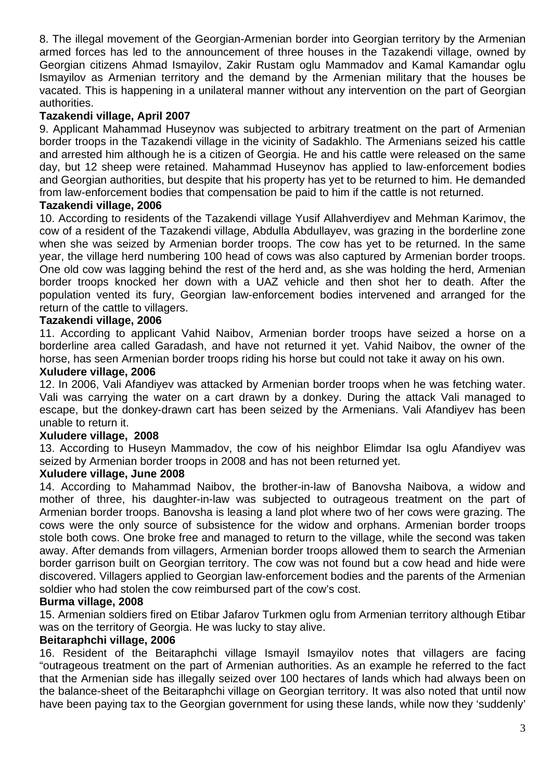8. The illegal movement of the Georgian-Armenian border into Georgian territory by the Armenian armed forces has led to the announcement of three houses in the Tazakendi village, owned by Georgian citizens Ahmad Ismayilov, Zakir Rustam oglu Mammadov and Kamal Kamandar oglu Ismayilov as Armenian territory and the demand by the Armenian military that the houses be vacated. This is happening in a unilateral manner without any intervention on the part of Georgian authorities.

# **Tazakendi village, April 2007**

9. Applicant Mahammad Huseynov was subjected to arbitrary treatment on the part of Armenian border troops in the Tazakendi village in the vicinity of Sadakhlo. The Armenians seized his cattle and arrested him although he is a citizen of Georgia. He and his cattle were released on the same day, but 12 sheep were retained. Mahammad Huseynov has applied to law-enforcement bodies and Georgian authorities, but despite that his property has yet to be returned to him. He demanded from law-enforcement bodies that compensation be paid to him if the cattle is not returned.

## **Tazakendi village, 2006**

10. According to residents of the Tazakendi village Yusif Allahverdiyev and Mehman Karimov, the cow of a resident of the Tazakendi village, Abdulla Abdullayev, was grazing in the borderline zone when she was seized by Armenian border troops. The cow has yet to be returned. In the same year, the village herd numbering 100 head of cows was also captured by Armenian border troops. One old cow was lagging behind the rest of the herd and, as she was holding the herd, Armenian border troops knocked her down with a UAZ vehicle and then shot her to death. After the population vented its fury, Georgian law-enforcement bodies intervened and arranged for the return of the cattle to villagers.

## **Tazakendi village, 2006**

11. According to applicant Vahid Naibov, Armenian border troops have seized a horse on a borderline area called Garadash, and have not returned it yet. Vahid Naibov, the owner of the horse, has seen Armenian border troops riding his horse but could not take it away on his own.

#### **Xuludere village, 2006**

12. In 2006, Vali Afandiyev was attacked by Armenian border troops when he was fetching water. Vali was carrying the water on a cart drawn by a donkey. During the attack Vali managed to escape, but the donkey-drawn cart has been seized by the Armenians. Vali Afandiyev has been unable to return it.

#### **Xuludere village, 2008**

13. According to Huseyn Mammadov, the cow of his neighbor Elimdar Isa oglu Afandiyev was seized by Armenian border troops in 2008 and has not been returned yet.

#### **Xuludere village, June 2008**

14. According to Mahammad Naibov, the brother-in-law of Banovsha Naibova, a widow and mother of three, his daughter-in-law was subjected to outrageous treatment on the part of Armenian border troops. Banovsha is leasing a land plot where two of her cows were grazing. The cows were the only source of subsistence for the widow and orphans. Armenian border troops stole both cows. One broke free and managed to return to the village, while the second was taken away. After demands from villagers, Armenian border troops allowed them to search the Armenian border garrison built on Georgian territory. The cow was not found but a cow head and hide were discovered. Villagers applied to Georgian law-enforcement bodies and the parents of the Armenian soldier who had stolen the cow reimbursed part of the cow's cost.

#### **Burma village, 2008**

15. Armenian soldiers fired on Etibar Jafarov Turkmen oglu from Armenian territory although Etibar was on the territory of Georgia. He was lucky to stay alive.

#### **Beitaraphchi village, 2006**

16. Resident of the Beitaraphchi village Ismayil Ismayilov notes that villagers are facing "outrageous treatment on the part of Armenian authorities. As an example he referred to the fact that the Armenian side has illegally seized over 100 hectares of lands which had always been on the balance-sheet of the Beitaraphchi village on Georgian territory. It was also noted that until now have been paying tax to the Georgian government for using these lands, while now they 'suddenly'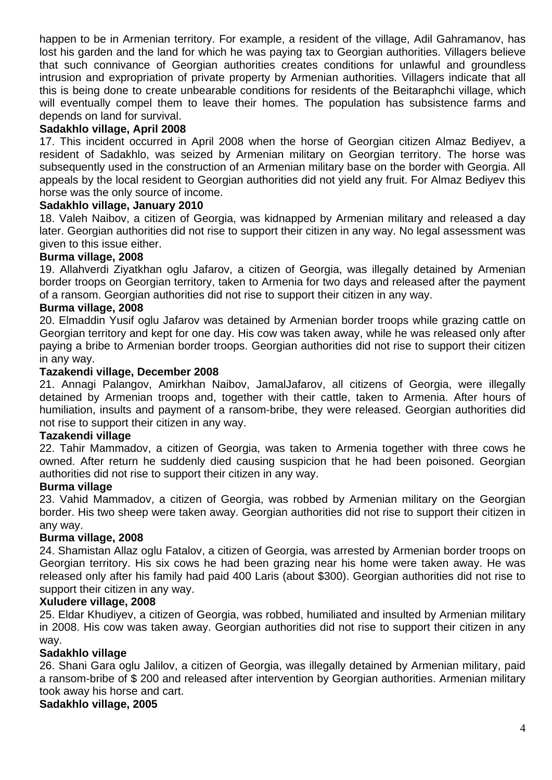happen to be in Armenian territory. For example, a resident of the village, Adil Gahramanov, has lost his garden and the land for which he was paying tax to Georgian authorities. Villagers believe that such connivance of Georgian authorities creates conditions for unlawful and groundless intrusion and expropriation of private property by Armenian authorities. Villagers indicate that all this is being done to create unbearable conditions for residents of the Beitaraphchi village, which will eventually compel them to leave their homes. The population has subsistence farms and depends on land for survival.

# **Sadakhlo village, April 2008**

17. This incident occurred in April 2008 when the horse of Georgian citizen Almaz Bediyev, a resident of Sadakhlo, was seized by Armenian military on Georgian territory. The horse was subsequently used in the construction of an Armenian military base on the border with Georgia. All appeals by the local resident to Georgian authorities did not yield any fruit. For Almaz Bediyev this horse was the only source of income.

#### **Sadakhlo village, January 2010**

18. Valeh Naibov, a citizen of Georgia, was kidnapped by Armenian military and released a day later. Georgian authorities did not rise to support their citizen in any way. No legal assessment was given to this issue either.

#### **Burma village, 2008**

19. Allahverdi Ziyatkhan oglu Jafarov, a citizen of Georgia, was illegally detained by Armenian border troops on Georgian territory, taken to Armenia for two days and released after the payment of a ransom. Georgian authorities did not rise to support their citizen in any way.

#### **Burma village, 2008**

20. Elmaddin Yusif oglu Jafarov was detained by Armenian border troops while grazing cattle on Georgian territory and kept for one day. His cow was taken away, while he was released only after paying a bribe to Armenian border troops. Georgian authorities did not rise to support their citizen in any way.

#### **Tazakendi village, December 2008**

21. Annagi Palangov, Amirkhan Naibov, JamalJafarov, all citizens of Georgia, were illegally detained by Armenian troops and, together with their cattle, taken to Armenia. After hours of humiliation, insults and payment of a ransom-bribe, they were released. Georgian authorities did not rise to support their citizen in any way.

#### **Tazakendi village**

22. Tahir Mammadov, a citizen of Georgia, was taken to Armenia together with three cows he owned. After return he suddenly died causing suspicion that he had been poisoned. Georgian authorities did not rise to support their citizen in any way.

#### **Burma village**

23. Vahid Mammadov, a citizen of Georgia, was robbed by Armenian military on the Georgian border. His two sheep were taken away. Georgian authorities did not rise to support their citizen in any way.

#### **Burma village, 2008**

24. Shamistan Allaz oglu Fatalov, a citizen of Georgia, was arrested by Armenian border troops on Georgian territory. His six cows he had been grazing near his home were taken away. He was released only after his family had paid 400 Laris (about \$300). Georgian authorities did not rise to support their citizen in any way.

#### **Xuludere village, 2008**

25. Eldar Khudiyev, a citizen of Georgia, was robbed, humiliated and insulted by Armenian military in 2008. His cow was taken away. Georgian authorities did not rise to support their citizen in any way.

#### **Sadakhlo village**

26. Shani Gara oglu Jalilov, a citizen of Georgia, was illegally detained by Armenian military, paid a ransom-bribe of \$ 200 and released after intervention by Georgian authorities. Armenian military took away his horse and cart.

#### **Sadakhlo village, 2005**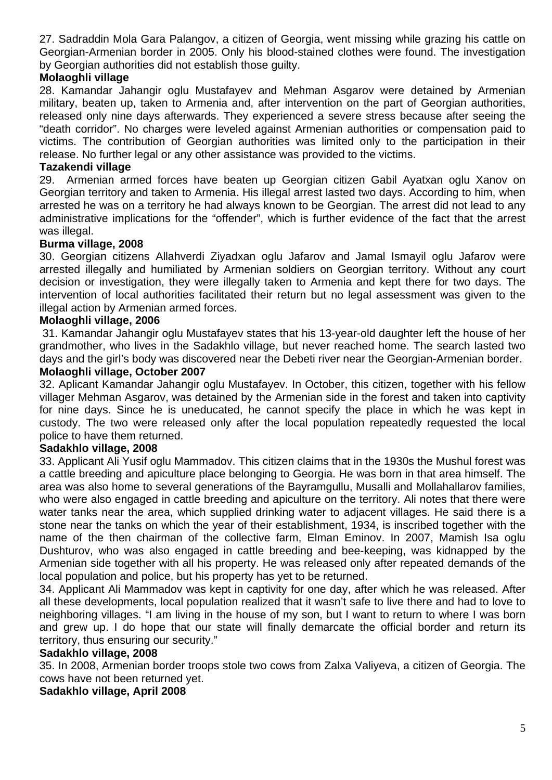27. Sadraddin Mola Gara Palangov, a citizen of Georgia, went missing while grazing his cattle on Georgian-Armenian border in 2005. Only his blood-stained clothes were found. The investigation by Georgian authorities did not establish those guilty.

# **Molaoghli village**

28. Kamandar Jahangir oglu Mustafayev and Mehman Asgarov were detained by Armenian military, beaten up, taken to Armenia and, after intervention on the part of Georgian authorities, released only nine days afterwards. They experienced a severe stress because after seeing the "death corridor". No charges were leveled against Armenian authorities or compensation paid to victims. The contribution of Georgian authorities was limited only to the participation in their release. No further legal or any other assistance was provided to the victims.

# **Tazakendi village**

29. Armenian armed forces have beaten up Georgian citizen Gabil Ayatxan oglu Xanov on Georgian territory and taken to Armenia. His illegal arrest lasted two days. According to him, when arrested he was on a territory he had always known to be Georgian. The arrest did not lead to any administrative implications for the "offender", which is further evidence of the fact that the arrest was illegal.

## **Burma village, 2008**

30. Georgian citizens Allahverdi Ziyadxan oglu Jafarov and Jamal Ismayil oglu Jafarov were arrested illegally and humiliated by Armenian soldiers on Georgian territory. Without any court decision or investigation, they were illegally taken to Armenia and kept there for two days. The intervention of local authorities facilitated their return but no legal assessment was given to the illegal action by Armenian armed forces.

## **Molaoghli village, 2006**

31. Kamandar Jahangir oglu Mustafayev states that his 13-year-old daughter left the house of her grandmother, who lives in the Sadakhlo village, but never reached home. The search lasted two days and the girl's body was discovered near the Debeti river near the Georgian-Armenian border.

#### **Molaoghli village, October 2007**

32. Aplicant Kamandar Jahangir oglu Mustafayev. In October, this citizen, together with his fellow villager Mehman Asgarov, was detained by the Armenian side in the forest and taken into captivity for nine days. Since he is uneducated, he cannot specify the place in which he was kept in custody. The two were released only after the local population repeatedly requested the local police to have them returned.

#### **Sadakhlo village, 2008**

33. Applicant Ali Yusif oglu Mammadov. This citizen claims that in the 1930s the Mushul forest was a cattle breeding and apiculture place belonging to Georgia. He was born in that area himself. The area was also home to several generations of the Bayramgullu, Musalli and Mollahallarov families, who were also engaged in cattle breeding and apiculture on the territory. Ali notes that there were water tanks near the area, which supplied drinking water to adjacent villages. He said there is a stone near the tanks on which the year of their establishment, 1934, is inscribed together with the name of the then chairman of the collective farm, Elman Eminov. In 2007, Mamish Isa oglu Dushturov, who was also engaged in cattle breeding and bee-keeping, was kidnapped by the Armenian side together with all his property. He was released only after repeated demands of the local population and police, but his property has yet to be returned.

34. Applicant Ali Mammadov was kept in captivity for one day, after which he was released. After all these developments, local population realized that it wasn't safe to live there and had to love to neighboring villages. "I am living in the house of my son, but I want to return to where I was born and grew up. I do hope that our state will finally demarcate the official border and return its territory, thus ensuring our security."

#### **Sadakhlo village, 2008**

35. In 2008, Armenian border troops stole two cows from Zalxa Valiyeva, a citizen of Georgia. The cows have not been returned yet.

#### **Sadakhlo village, April 2008**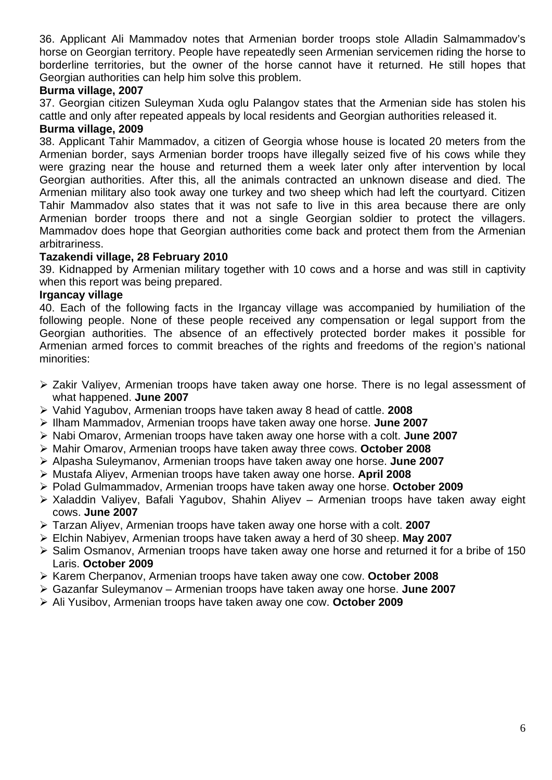36. Applicant Ali Mammadov notes that Armenian border troops stole Alladin Salmammadov's horse on Georgian territory. People have repeatedly seen Armenian servicemen riding the horse to borderline territories, but the owner of the horse cannot have it returned. He still hopes that Georgian authorities can help him solve this problem.

# **Burma village, 2007**

37. Georgian citizen Suleyman Xuda oglu Palangov states that the Armenian side has stolen his cattle and only after repeated appeals by local residents and Georgian authorities released it.

#### **Burma village, 2009**

38. Applicant Tahir Mammadov, a citizen of Georgia whose house is located 20 meters from the Armenian border, says Armenian border troops have illegally seized five of his cows while they were grazing near the house and returned them a week later only after intervention by local Georgian authorities. After this, all the animals contracted an unknown disease and died. The Armenian military also took away one turkey and two sheep which had left the courtyard. Citizen Tahir Mammadov also states that it was not safe to live in this area because there are only Armenian border troops there and not a single Georgian soldier to protect the villagers. Mammadov does hope that Georgian authorities come back and protect them from the Armenian arbitrariness.

#### **Tazakendi village, 28 February 2010**

39. Kidnapped by Armenian military together with 10 cows and a horse and was still in captivity when this report was being prepared.

#### **Irgancay village**

40. Each of the following facts in the Irgancay village was accompanied by humiliation of the following people. None of these people received any compensation or legal support from the Georgian authorities. The absence of an effectively protected border makes it possible for Armenian armed forces to commit breaches of the rights and freedoms of the region's national minorities:

- $\geq$  Zakir Valivev. Armenian troops have taken away one horse. There is no legal assessment of what happened. **June 2007**
- Vahid Yagubov, Armenian troops have taken away 8 head of cattle. **2008**
- Ilham Mammadov, Armenian troops have taken away one horse. **June 2007**
- Nabi Omarov, Armenian troops have taken away one horse with a colt. **June 2007**
- Mahir Omarov, Armenian troops have taken away three cows. **October 2008**
- Alpasha Suleymanov, Armenian troops have taken away one horse. **June 2007**
- Mustafa Aliyev, Armenian troops have taken away one horse. **April 2008**
- Polad Gulmammadov, Armenian troops have taken away one horse. **October 2009**
- ▶ Xaladdin Valiyev, Bafali Yagubov, Shahin Aliyev Armenian troops have taken away eight cows. **June 2007**
- Tarzan Aliyev, Armenian troops have taken away one horse with a colt. **2007**
- Elchin Nabiyev, Armenian troops have taken away a herd of 30 sheep. **May 2007**
- $\triangleright$  Salim Osmanov, Armenian troops have taken away one horse and returned it for a bribe of 150 Laris. **October 2009**
- Karem Cherpanov, Armenian troops have taken away one cow. **October 2008**
- Gazanfar Suleymanov Armenian troops have taken away one horse. **June 2007**
- Ali Yusibov, Armenian troops have taken away one cow. **October 2009**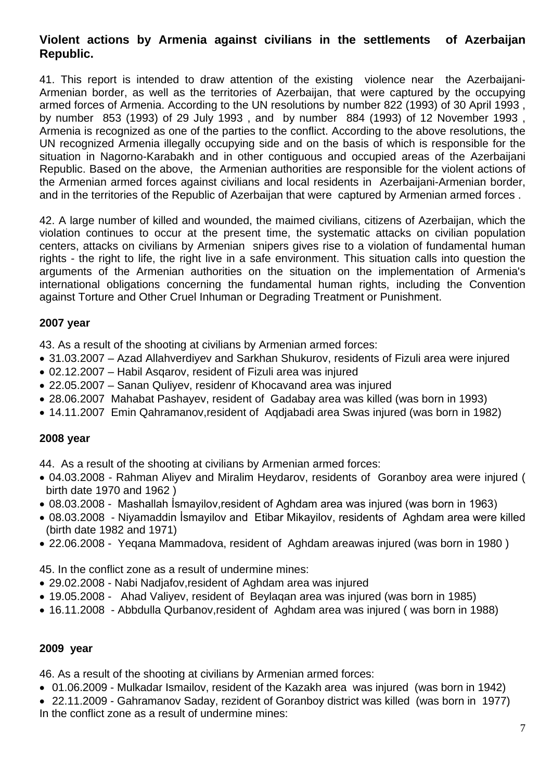# **Violent actions by Armenia against civilians in the settlements of Azerbaijan Republic.**

41. This report is intended to draw attention of the existing violence near the Azerbaijani-Armenian border, as well as the territories of Azerbaijan, that were captured by the occupying armed forces of Armenia. According to the UN resolutions by number 822 (1993) of 30 April 1993 , by number 853 (1993) of 29 July 1993 , and by number 884 (1993) of 12 November 1993 , Armenia is recognized as one of the parties to the conflict. According to the above resolutions, the UN recognized Armenia illegally occupying side and on the basis of which is responsible for the situation in Nagorno-Karabakh and in other contiguous and occupied areas of the Azerbaijani Republic. Based on the above, the Armenian authorities are responsible for the violent actions of the Armenian armed forces against civilians and local residents in Azerbaijani-Armenian border, and in the territories of the Republic of Azerbaijan that were captured by Armenian armed forces .

42. A large number of killed and wounded, the maimed civilians, citizens of Azerbaijan, which the violation continues to occur at the present time, the systematic attacks on civilian population centers, attacks on civilians by Armenian snipers gives rise to a violation of fundamental human rights - the right to life, the right live in a safe environment. This situation calls into question the arguments of the Armenian authorities on the situation on the implementation of Armenia's international obligations concerning the fundamental human rights, including the Convention against Torture and Other Cruel Inhuman or Degrading Treatment or Punishment.

## **2007 year**

43. As a result of the shooting at civilians by Armenian armed forces:

- 31.03.2007 Azad Allahverdiyev and Sarkhan Shukurov, residents of Fizuli area were injured
- 02.12.2007 Habil Asqarov, resident of Fizuli area was injured
- 22.05.2007 Sanan Quliyev, residenr of Khocavand area was injured
- 28.06.2007 Mahabat Pashayev, resident of Gadabay area was killed (was born in 1993)
- 14.11.2007 Emin Qahramanov,resident of Aqdjabadi area Swas injured (was born in 1982)

#### **2008 year**

44. As a result of the shooting at civilians by Armenian armed forces:

- 04.03.2008 Rahman Aliyev and Miralim Heydarov, residents of Goranboy area were injured ( birth date 1970 and 1962 )
- 08.03.2008 Mashallah İsmayilov,resident of Aghdam area was injured (was born in 1963)
- 08.03.2008 Niyamaddin İsmayilov and Etibar Mikayilov, residents of Aghdam area were killed (birth date 1982 and 1971)
- 22.06.2008 Yeqana Mammadova, resident of Aghdam areawas injured (was born in 1980 )

45. In the conflict zone as a result of undermine mines:

- 29.02.2008 Nabi Nadjafov,resident of Aghdam area was injured
- 19.05.2008 Ahad Valiyev, resident of Beylaqan area was injured (was born in 1985)
- 16.11.2008 Abbdulla Qurbanov,resident of Aghdam area was injured ( was born in 1988)

#### **2009 year**

46. As a result of the shooting at civilians by Armenian armed forces:

- 01.06.2009 Mulkadar Ismailov, resident of the Kazakh area was injured (was born in 1942)
- 22.11.2009 Gahramanov Saday, rezident of Goranboy district was killed (was born in 1977) In the conflict zone as a result of undermine mines: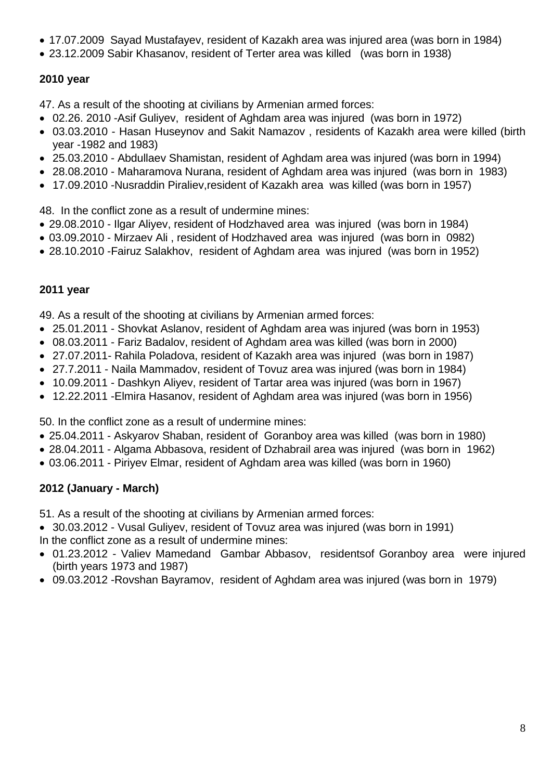- 17.07.2009 Sayad Mustafayev, resident of Kazakh area was injured area (was born in 1984)
- 23.12.2009 Sabir Khasanov, resident of Terter area was killed (was born in 1938)

# **2010 year**

47. As a result of the shooting at civilians by Armenian armed forces:

- 02.26. 2010 -Asif Guliyev, resident of Aghdam area was injured (was born in 1972)
- 03.03.2010 Hasan Huseynov and Sakit Namazov , residents of Kazakh area were killed (birth year -1982 and 1983)
- 25.03.2010 Abdullaev Shamistan, resident of Aghdam area was injured (was born in 1994)
- 28.08.2010 Maharamova Nurana, resident of Aghdam area was injured (was born in 1983)
- 17.09.2010 -Nusraddin Piraliev,resident of Kazakh area was killed (was born in 1957)

48. In the conflict zone as a result of undermine mines:

- 29.08.2010 Ilgar Aliyev, resident of Hodzhaved area was injured (was born in 1984)
- 03.09.2010 Mirzaev Ali , resident of Hodzhaved area was injured (was born in 0982)
- 28.10.2010 -Fairuz Salakhov, resident of Aghdam area was injured (was born in 1952)

# **2011 year**

49. As a result of the shooting at civilians by Armenian armed forces:

- 25.01.2011 Shovkat Aslanov, resident of Aghdam area was injured (was born in 1953)
- 08.03.2011 Fariz Badalov, resident of Aghdam area was killed (was born in 2000)
- 27.07.2011- Rahila Poladova, resident of Kazakh area was injured (was born in 1987)
- 27.7.2011 Naila Mammadov, resident of Tovuz area was injured (was born in 1984)
- 10.09.2011 Dashkyn Aliyev, resident of Tartar area was injured (was born in 1967)
- 12.22.2011 -Elmira Hasanov, resident of Aghdam area was injured (was born in 1956)

50. In the conflict zone as a result of undermine mines:

- 25.04.2011 Askyarov Shaban, resident of Goranboy area was killed (was born in 1980)
- 28.04.2011 Algama Abbasova, resident of Dzhabrail area was injured (was born in 1962)
- 03.06.2011 Piriyev Elmar, resident of Aghdam area was killed (was born in 1960)

# **2012 (January - March)**

51. As a result of the shooting at civilians by Armenian armed forces:

- 30.03.2012 Vusal Guliyev, resident of Tovuz area was injured (was born in 1991) In the conflict zone as a result of undermine mines:
- 01.23.2012 Valiev Mamedand Gambar Abbasov, residentsof Goranboy area were injured (birth years 1973 and 1987)
- 09.03.2012 -Rovshan Bayramov, resident of Aghdam area was injured (was born in 1979)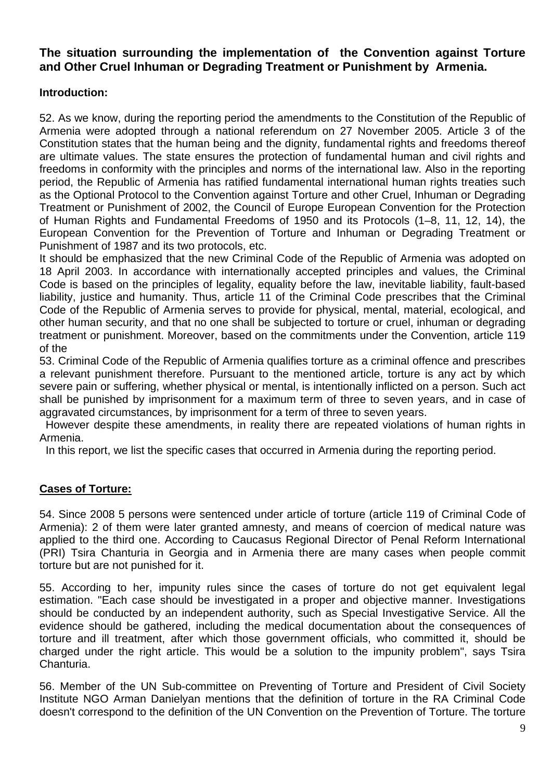# **The situation surrounding the implementation of the Convention against Torture and Other Cruel Inhuman or Degrading Treatment or Punishment by Armenia.**

# **Introduction:**

52. As we know, during the reporting period the amendments to the Constitution of the Republic of Armenia were adopted through a national referendum on 27 November 2005. Article 3 of the Constitution states that the human being and the dignity, fundamental rights and freedoms thereof are ultimate values. The state ensures the protection of fundamental human and civil rights and freedoms in conformity with the principles and norms of the international law. Also in the reporting period, the Republic of Armenia has ratified fundamental international human rights treaties such as the Optional Protocol to the Convention against Torture and other Cruel, Inhuman or Degrading Treatment or Punishment of 2002, the Council of Europe European Convention for the Protection of Human Rights and Fundamental Freedoms of 1950 and its Protocols (1–8, 11, 12, 14), the European Convention for the Prevention of Torture and Inhuman or Degrading Treatment or Punishment of 1987 and its two protocols, etc.

It should be emphasized that the new Criminal Code of the Republic of Armenia was adopted on 18 April 2003. In accordance with internationally accepted principles and values, the Criminal Code is based on the principles of legality, equality before the law, inevitable liability, fault-based liability, justice and humanity. Thus, article 11 of the Criminal Code prescribes that the Criminal Code of the Republic of Armenia serves to provide for physical, mental, material, ecological, and other human security, and that no one shall be subjected to torture or cruel, inhuman or degrading treatment or punishment. Moreover, based on the commitments under the Convention, article 119 of the

53. Criminal Code of the Republic of Armenia qualifies torture as a criminal offence and prescribes a relevant punishment therefore. Pursuant to the mentioned article, torture is any act by which severe pain or suffering, whether physical or mental, is intentionally inflicted on a person. Such act shall be punished by imprisonment for a maximum term of three to seven years, and in case of aggravated circumstances, by imprisonment for a term of three to seven years.

 However despite these amendments, in reality there are repeated violations of human rights in Armenia.

In this report, we list the specific cases that occurred in Armenia during the reporting period.

# **Cases of Torture:**

54. Since 2008 5 persons were sentenced under article of torture (article 119 of Criminal Code of Armenia): 2 of them were later granted amnesty, and means of coercion of medical nature was applied to the third one. According to Caucasus Regional Director of Penal Reform International (PRI) Tsira Chanturia in Georgia and in Armenia there are many cases when people commit torture but are not punished for it.

55. According to her, impunity rules since the cases of torture do not get equivalent legal estimation. "Each case should be investigated in a proper and objective manner. Investigations should be conducted by an independent authority, such as Special Investigative Service. All the evidence should be gathered, including the medical documentation about the consequences of torture and ill treatment, after which those government officials, who committed it, should be charged under the right article. This would be a solution to the impunity problem", says Tsira Chanturia.

56. Member of the UN Sub-committee on Preventing of Torture and President of Civil Society Institute NGO Arman Danielyan mentions that the definition of torture in the RA Criminal Code doesn't correspond to the definition of the UN Convention on the Prevention of Torture. The torture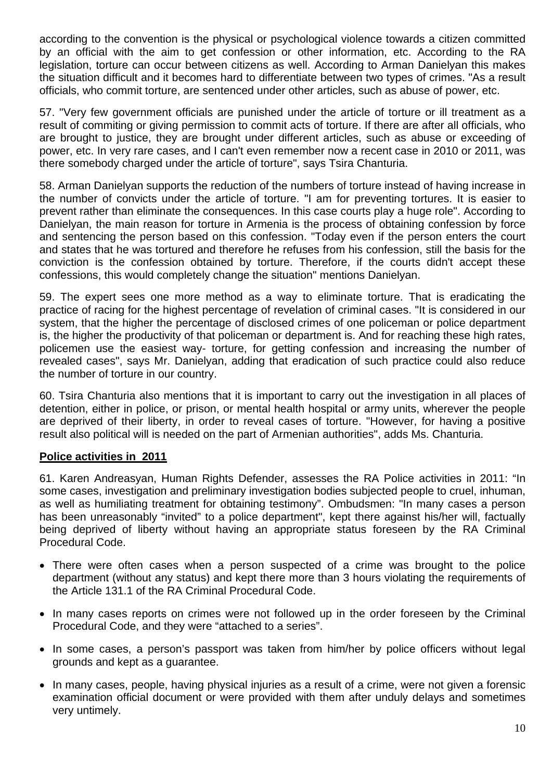according to the convention is the physical or psychological violence towards a citizen committed by an official with the aim to get confession or other information, etc. According to the RA legislation, torture can occur between citizens as well. According to Arman Danielyan this makes the situation difficult and it becomes hard to differentiate between two types of crimes. "As a result officials, who commit torture, are sentenced under other articles, such as abuse of power, etc.

57. "Very few government officials are punished under the article of torture or ill treatment as a result of commiting or giving permission to commit acts of torture. If there are after all officials, who are brought to justice, they are brought under different articles, such as abuse or exceeding of power, etc. In very rare cases, and I can't even remember now a recent case in 2010 or 2011, was there somebody charged under the article of torture", says Tsira Chanturia.

58. Arman Danielyan supports the reduction of the numbers of torture instead of having increase in the number of convicts under the article of torture. "I am for preventing tortures. It is easier to prevent rather than eliminate the consequences. In this case courts play a huge role". According to Danielyan, the main reason for torture in Armenia is the process of obtaining confession by force and sentencing the person based on this confession. "Today even if the person enters the court and states that he was tortured and therefore he refuses from his confession, still the basis for the conviction is the confession obtained by torture. Therefore, if the courts didn't accept these confessions, this would completely change the situation" mentions Danielyan.

59. The expert sees one more method as a way to eliminate torture. That is eradicating the practice of racing for the highest percentage of revelation of criminal cases. "It is considered in our system, that the higher the percentage of disclosed crimes of one policeman or police department is, the higher the productivity of that policeman or department is. And for reaching these high rates, policemen use the easiest way- torture, for getting confession and increasing the number of revealed cases", says Mr. Danielyan, adding that eradication of such practice could also reduce the number of torture in our country.

60. Tsira Chanturia also mentions that it is important to carry out the investigation in all places of detention, either in police, or prison, or mental health hospital or army units, wherever the people are deprived of their liberty, in order to reveal cases of torture. "However, for having a positive result also political will is needed on the part of Armenian authorities", adds Ms. Chanturia.

# **Police activities in 2011**

61. Karen Andreasyan, Human Rights Defender, assesses the RA Police activities in 2011: "In some cases, investigation and preliminary investigation bodies subjected people to cruel, inhuman, as well as humiliating treatment for obtaining testimony". Ombudsmen: "In many cases a person has been unreasonably "invited" to a police department", kept there against his/her will, factually being deprived of liberty without having an appropriate status foreseen by the RA Criminal Procedural Code.

- There were often cases when a person suspected of a crime was brought to the police department (without any status) and kept there more than 3 hours violating the requirements of the Article 131.1 of the RA Criminal Procedural Code.
- In many cases reports on crimes were not followed up in the order foreseen by the Criminal Procedural Code, and they were "attached to a series".
- In some cases, a person's passport was taken from him/her by police officers without legal grounds and kept as a guarantee.
- In many cases, people, having physical injuries as a result of a crime, were not given a forensic examination official document or were provided with them after unduly delays and sometimes very untimely.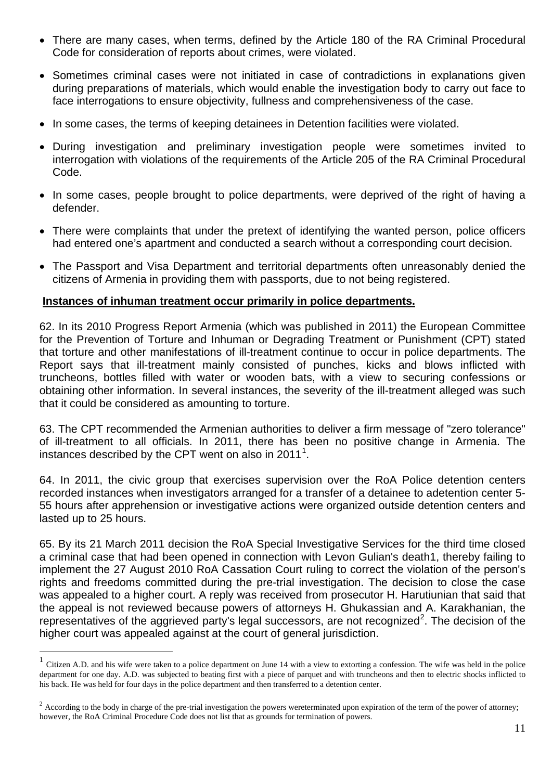- There are many cases, when terms, defined by the Article 180 of the RA Criminal Procedural Code for consideration of reports about crimes, were violated.
- Sometimes criminal cases were not initiated in case of contradictions in explanations given during preparations of materials, which would enable the investigation body to carry out face to face interrogations to ensure objectivity, fullness and comprehensiveness of the case.
- In some cases, the terms of keeping detainees in Detention facilities were violated.
- During investigation and preliminary investigation people were sometimes invited to interrogation with violations of the requirements of the Article 205 of the RA Criminal Procedural Code.
- In some cases, people brought to police departments, were deprived of the right of having a defender.
- There were complaints that under the pretext of identifying the wanted person, police officers had entered one's apartment and conducted a search without a corresponding court decision.
- The Passport and Visa Department and territorial departments often unreasonably denied the citizens of Armenia in providing them with passports, due to not being registered.

#### **Instances of inhuman treatment occur primarily in police departments.**

62. In its 2010 Progress Report Armenia (which was published in 2011) the European Committee for the Prevention of Torture and Inhuman or Degrading Treatment or Punishment (CPT) stated that torture and other manifestations of ill-treatment continue to occur in police departments. The Report says that ill-treatment mainly consisted of punches, kicks and blows inflicted with truncheons, bottles filled with water or wooden bats, with a view to securing confessions or obtaining other information. In several instances, the severity of the ill-treatment alleged was such that it could be considered as amounting to torture.

63. The CPT recommended the Armenian authorities to deliver a firm message of "zero tolerance" of ill-treatment to all officials. In 2011, there has been no positive change in Armenia. The instances described by the CPT went on also in 20[1](#page-16-0)1<sup>1</sup>.

64. In 2011, the civic group that exercises supervision over the RoA Police detention centers recorded instances when investigators arranged for a transfer of a detainee to adetention center 5- 55 hours after apprehension or investigative actions were organized outside detention centers and lasted up to 25 hours.

65. By its 21 March 2011 decision the RoA Special Investigative Services for the third time closed a criminal case that had been opened in connection with Levon Gulian's death1, thereby failing to implement the 27 August 2010 RoA Cassation Court ruling to correct the violation of the person's rights and freedoms committed during the pre-trial investigation. The decision to close the case was appealed to a higher court. A reply was received from prosecutor H. Harutiunian that said that the appeal is not reviewed because powers of attorneys H. Ghukassian and A. Karakhanian, the representatives of the aggrieved party's legal successors, are not recognized<sup>[2](#page-10-0)</sup>. The decision of the higher court was appealed against at the court of general jurisdiction.

 $<sup>1</sup>$  Citizen A.D. and his wife were taken to a police department on June 14 with a view to extorting a confession. The wife was held in the police</sup> department for one day. A.D. was subjected to beating first with a piece of parquet and with truncheons and then to electric shocks inflicted to his back. He was held for four days in the police department and then transferred to a detention center.

<span id="page-10-1"></span><span id="page-10-0"></span> $2 \text{ According to the body in charge of the pre-trial investigation the powers were terminated upon expiration of the term of the power of at a time.}$ however, the RoA Criminal Procedure Code does not list that as grounds for termination of powers.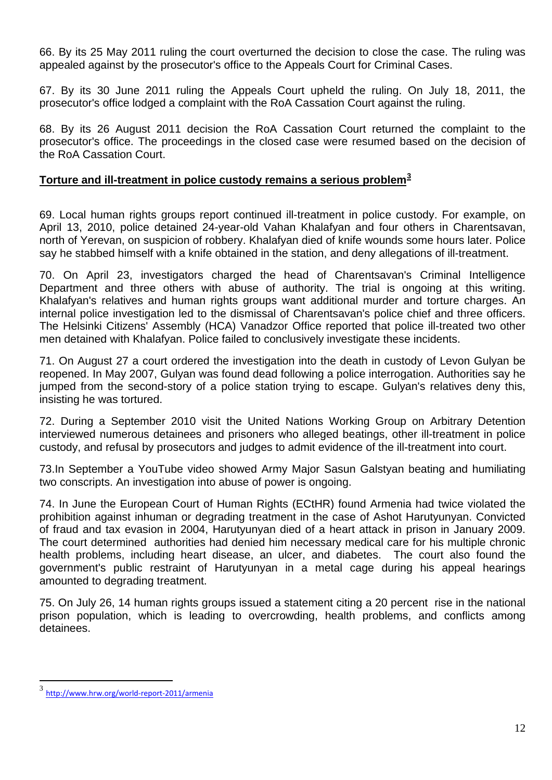66. By its 25 May 2011 ruling the court overturned the decision to close the case. The ruling was appealed against by the prosecutor's office to the Appeals Court for Criminal Cases.

67. By its 30 June 2011 ruling the Appeals Court upheld the ruling. On July 18, 2011, the prosecutor's office lodged a complaint with the RoA Cassation Court against the ruling.

68. By its 26 August 2011 decision the RoA Cassation Court returned the complaint to the prosecutor's office. The proceedings in the closed case were resumed based on the decision of the RoA Cassation Court.

# **Torture and ill-treatment in police custody remains a serious problem[3](#page-10-1)**

69. Local human rights groups report continued ill-treatment in police custody. For example, on April 13, 2010, police detained 24-year-old Vahan Khalafyan and four others in Charentsavan, north of Yerevan, on suspicion of robbery. Khalafyan died of knife wounds some hours later. Police say he stabbed himself with a knife obtained in the station, and deny allegations of ill-treatment.

70. On April 23, investigators charged the head of Charentsavan's Criminal Intelligence Department and three others with abuse of authority. The trial is ongoing at this writing. Khalafyan's relatives and human rights groups want additional murder and torture charges. An internal police investigation led to the dismissal of Charentsavan's police chief and three officers. The Helsinki Citizens' Assembly (HCA) Vanadzor Office reported that police ill-treated two other men detained with Khalafyan. Police failed to conclusively investigate these incidents.

71. On August 27 a court ordered the investigation into the death in custody of Levon Gulyan be reopened. In May 2007, Gulyan was found dead following a police interrogation. Authorities say he jumped from the second-story of a police station trying to escape. Gulyan's relatives deny this, insisting he was tortured.

72. During a September 2010 visit the United Nations Working Group on Arbitrary Detention interviewed numerous detainees and prisoners who alleged beatings, other ill-treatment in police custody, and refusal by prosecutors and judges to admit evidence of the ill-treatment into court.

73.In September a YouTube video showed Army Major Sasun Galstyan beating and humiliating two conscripts. An investigation into abuse of power is ongoing.

74. In June the European Court of Human Rights (ECtHR) found Armenia had twice violated the prohibition against inhuman or degrading treatment in the case of Ashot Harutyunyan. Convicted of fraud and tax evasion in 2004, Harutyunyan died of a heart attack in prison in January 2009. The court determined authorities had denied him necessary medical care for his multiple chronic health problems, including heart disease, an ulcer, and diabetes. The court also found the government's public restraint of Harutyunyan in a metal cage during his appeal hearings amounted to degrading treatment.

75. On July 26, 14 human rights groups issued a statement citing a 20 percent rise in the national prison population, which is leading to overcrowding, health problems, and conflicts among detainees.

<span id="page-11-0"></span> <sup>3</sup> <http://www.hrw.org/world-report-2011/armenia>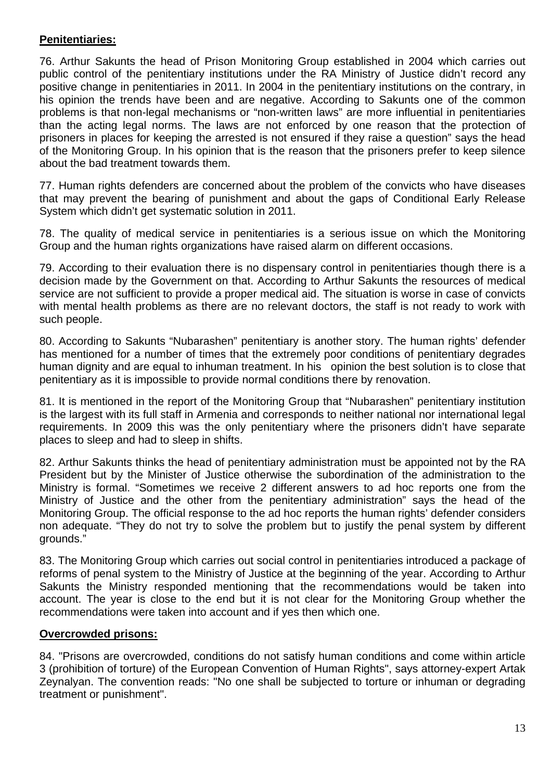# **Penitentiaries:**

76. Arthur Sakunts the head of Prison Monitoring Group established in 2004 which carries out public control of the penitentiary institutions under the RA Ministry of Justice didn't record any positive change in penitentiaries in 2011. In 2004 in the penitentiary institutions on the contrary, in his opinion the trends have been and are negative. According to Sakunts one of the common problems is that non-legal mechanisms or "non-written laws" are more influential in penitentiaries than the acting legal norms. The laws are not enforced by one reason that the protection of prisoners in places for keeping the arrested is not ensured if they raise a question" says the head of the Monitoring Group. In his opinion that is the reason that the prisoners prefer to keep silence about the bad treatment towards them.

77. Human rights defenders are concerned about the problem of the convicts who have diseases that may prevent the bearing of punishment and about the gaps of Conditional Early Release System which didn't get systematic solution in 2011.

78. The quality of medical service in penitentiaries is a serious issue on which the Monitoring Group and the human rights organizations have raised alarm on different occasions.

79. According to their evaluation there is no dispensary control in penitentiaries though there is a decision made by the Government on that. According to Arthur Sakunts the resources of medical service are not sufficient to provide a proper medical aid. The situation is worse in case of convicts with mental health problems as there are no relevant doctors, the staff is not ready to work with such people.

80. According to Sakunts "Nubarashen" penitentiary is another story. The human rights' defender has mentioned for a number of times that the extremely poor conditions of penitentiary degrades human dignity and are equal to inhuman treatment. In his opinion the best solution is to close that penitentiary as it is impossible to provide normal conditions there by renovation.

81. It is mentioned in the report of the Monitoring Group that "Nubarashen" penitentiary institution is the largest with its full staff in Armenia and corresponds to neither national nor international legal requirements. In 2009 this was the only penitentiary where the prisoners didn't have separate places to sleep and had to sleep in shifts.

82. Arthur Sakunts thinks the head of penitentiary administration must be appointed not by the RA President but by the Minister of Justice otherwise the subordination of the administration to the Ministry is formal. "Sometimes we receive 2 different answers to ad hoc reports one from the Ministry of Justice and the other from the penitentiary administration" says the head of the Monitoring Group. The official response to the ad hoc reports the human rights' defender considers non adequate. "They do not try to solve the problem but to justify the penal system by different grounds."

83. The Monitoring Group which carries out social control in penitentiaries introduced a package of reforms of penal system to the Ministry of Justice at the beginning of the year. According to Arthur Sakunts the Ministry responded mentioning that the recommendations would be taken into account. The year is close to the end but it is not clear for the Monitoring Group whether the recommendations were taken into account and if yes then which one.

# **Overcrowded prisons:**

84. "Prisons are overcrowded, conditions do not satisfy human conditions and come within article 3 (prohibition of torture) of the European Convention of Human Rights", says attorney-expert Artak Zeynalyan. The convention reads: "No one shall be subjected to torture or inhuman or degrading treatment or punishment".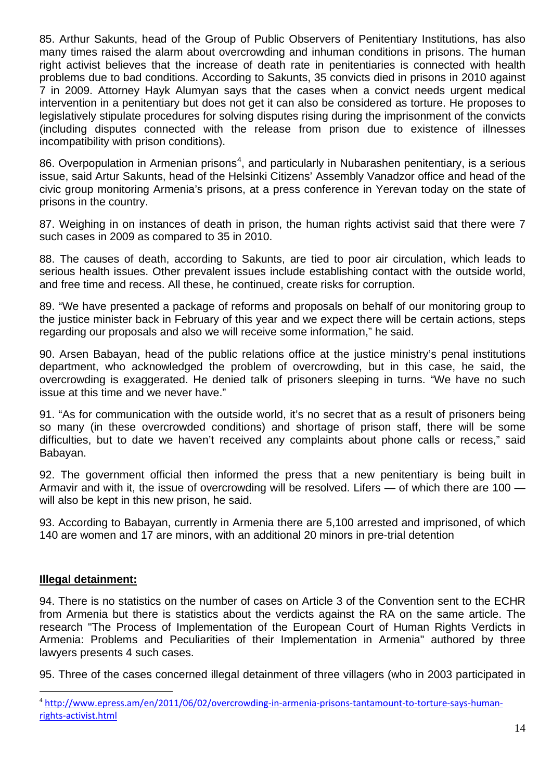85. Arthur Sakunts, head of the Group of Public Observers of Penitentiary Institutions, has also many times raised the alarm about overcrowding and inhuman conditions in prisons. The human right activist believes that the increase of death rate in penitentiaries is connected with health problems due to bad conditions. According to Sakunts, 35 convicts died in prisons in 2010 against 7 in 2009. Attorney Hayk Alumyan says that the cases when a convict needs urgent medical intervention in a penitentiary but does not get it can also be considered as torture. He proposes to legislatively stipulate procedures for solving disputes rising during the imprisonment of the convicts (including disputes connected with the release from prison due to existence of illnesses incompatibility with prison conditions).

86. Overpopulation in Armenian prisons<sup>[4](#page-11-0)</sup>, and particularly in Nubarashen penitentiary, is a serious issue, said Artur Sakunts, head of the Helsinki Citizens' Assembly Vanadzor office and head of the civic group monitoring Armenia's prisons, at a press conference in Yerevan today on the state of prisons in the country.

87. Weighing in on instances of death in prison, the human rights activist said that there were 7 such cases in 2009 as compared to 35 in 2010.

88. The causes of death, according to Sakunts, are tied to poor air circulation, which leads to serious health issues. Other prevalent issues include establishing contact with the outside world, and free time and recess. All these, he continued, create risks for corruption.

89. "We have presented a package of reforms and proposals on behalf of our monitoring group to the justice minister back in February of this year and we expect there will be certain actions, steps regarding our proposals and also we will receive some information," he said.

90. Arsen Babayan, head of the public relations office at the justice ministry's penal institutions department, who acknowledged the problem of overcrowding, but in this case, he said, the overcrowding is exaggerated. He denied talk of prisoners sleeping in turns. "We have no such issue at this time and we never have."

91. "As for communication with the outside world, it's no secret that as a result of prisoners being so many (in these overcrowded conditions) and shortage of prison staff, there will be some difficulties, but to date we haven't received any complaints about phone calls or recess," said Babayan.

92. The government official then informed the press that a new penitentiary is being built in Armavir and with it, the issue of overcrowding will be resolved. Lifers — of which there are 100 will also be kept in this new prison, he said.

93. According to Babayan, currently in Armenia there are 5,100 arrested and imprisoned, of which 140 are women and 17 are minors, with an additional 20 minors in pre-trial detention

#### **Illegal detainment:**

94. There is no statistics on the number of cases on Article 3 of the Convention sent to the ECHR from Armenia but there is statistics about the verdicts against the RA on the same article. The research "The Process of Implementation of the European Court of Human Rights Verdicts in Armenia: Problems and Peculiarities of their Implementation in Armenia" authored by three lawyers presents 4 such cases.

<span id="page-13-0"></span>95. Three of the cases concerned illegal detainment of three villagers (who in 2003 participated in

 <sup>4</sup> [http://www.epress.am/en/2011/06/02/overcrowding-in-armenia-prisons-tantamount-to-torture-says-human](http://www.epress.am/en/2011/06/02/overcrowding-in-armenia-prisons-tantamount-to-torture-says-human-rights-activist.html)[rights-activist.html](http://www.epress.am/en/2011/06/02/overcrowding-in-armenia-prisons-tantamount-to-torture-says-human-rights-activist.html)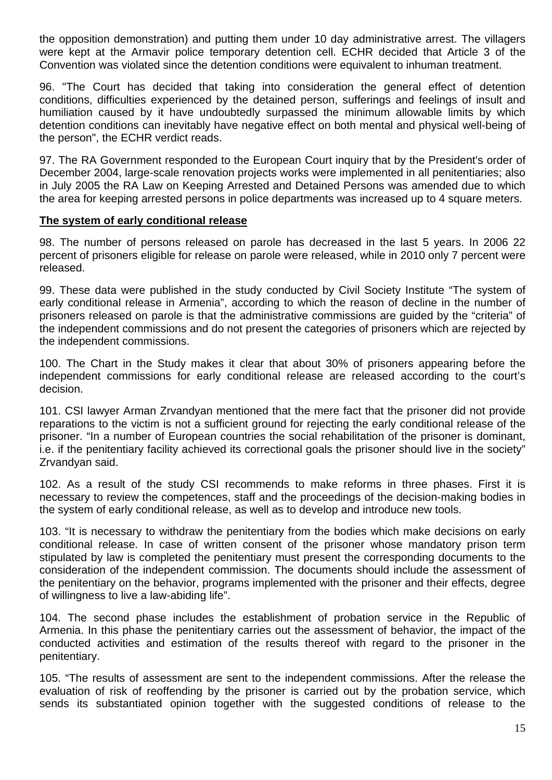the opposition demonstration) and putting them under 10 day administrative arrest. The villagers were kept at the Armavir police temporary detention cell. ECHR decided that Article 3 of the Convention was violated since the detention conditions were equivalent to inhuman treatment.

96. "The Court has decided that taking into consideration the general effect of detention conditions, difficulties experienced by the detained person, sufferings and feelings of insult and humiliation caused by it have undoubtedly surpassed the minimum allowable limits by which detention conditions can inevitably have negative effect on both mental and physical well-being of the person", the ECHR verdict reads.

97. The RA Government responded to the European Court inquiry that by the President's order of December 2004, large-scale renovation projects works were implemented in all penitentiaries; also in July 2005 the RA Law on Keeping Arrested and Detained Persons was amended due to which the area for keeping arrested persons in police departments was increased up to 4 square meters.

#### **The system of early conditional release**

98. The number of persons released on parole has decreased in the last 5 years. In 2006 22 percent of prisoners eligible for release on parole were released, while in 2010 only 7 percent were released.

99. These data were published in the study conducted by Civil Society Institute "The system of early conditional release in Armenia", according to which the reason of decline in the number of prisoners released on parole is that the administrative commissions are guided by the "criteria" of the independent commissions and do not present the categories of prisoners which are rejected by the independent commissions.

100. The Chart in the Study makes it clear that about 30% of prisoners appearing before the independent commissions for early conditional release are released according to the court's decision.

101. CSI lawyer Arman Zrvandyan mentioned that the mere fact that the prisoner did not provide reparations to the victim is not a sufficient ground for rejecting the early conditional release of the prisoner. "In a number of European countries the social rehabilitation of the prisoner is dominant, i.e. if the penitentiary facility achieved its correctional goals the prisoner should live in the society" Zrvandyan said.

102. As a result of the study CSI recommends to make reforms in three phases. First it is necessary to review the competences, staff and the proceedings of the decision-making bodies in the system of early conditional release, as well as to develop and introduce new tools.

103. "It is necessary to withdraw the penitentiary from the bodies which make decisions on early conditional release. In case of written consent of the prisoner whose mandatory prison term stipulated by law is completed the penitentiary must present the corresponding documents to the consideration of the independent commission. The documents should include the assessment of the penitentiary on the behavior, programs implemented with the prisoner and their effects, degree of willingness to live a law-abiding life".

104. The second phase includes the establishment of probation service in the Republic of Armenia. In this phase the penitentiary carries out the assessment of behavior, the impact of the conducted activities and estimation of the results thereof with regard to the prisoner in the penitentiary.

105. "The results of assessment are sent to the independent commissions. After the release the evaluation of risk of reoffending by the prisoner is carried out by the probation service, which sends its substantiated opinion together with the suggested conditions of release to the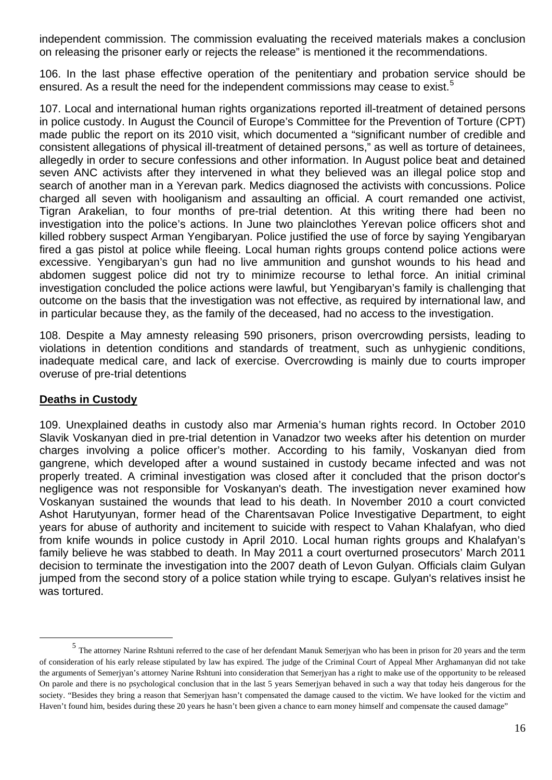independent commission. The commission evaluating the received materials makes a conclusion on releasing the prisoner early or rejects the release" is mentioned it the recommendations.

106. In the last phase effective operation of the penitentiary and probation service should be ensured. As a result the need for the independent commissions may cease to exist.<sup>[5](#page-13-0)</sup>

107. Local and international human rights organizations reported ill-treatment of detained persons in police custody. In August the Council of Europe's Committee for the Prevention of Torture (CPT) made public the report on its 2010 visit, which documented a "significant number of credible and consistent allegations of physical ill-treatment of detained persons," as well as torture of detainees, allegedly in order to secure confessions and other information. In August police beat and detained seven ANC activists after they intervened in what they believed was an illegal police stop and search of another man in a Yerevan park. Medics diagnosed the activists with concussions. Police charged all seven with hooliganism and assaulting an official. A court remanded one activist, Tigran Arakelian, to four months of pre-trial detention. At this writing there had been no investigation into the police's actions. In June two plainclothes Yerevan police officers shot and killed robbery suspect Arman Yengibaryan. Police justified the use of force by saying Yengibaryan fired a gas pistol at police while fleeing. Local human rights groups contend police actions were excessive. Yengibaryan's gun had no live ammunition and gunshot wounds to his head and abdomen suggest police did not try to minimize recourse to lethal force. An initial criminal investigation concluded the police actions were lawful, but Yengibaryan's family is challenging that outcome on the basis that the investigation was not effective, as required by international law, and in particular because they, as the family of the deceased, had no access to the investigation.

108. Despite a May amnesty releasing 590 prisoners, prison overcrowding persists, leading to violations in detention conditions and standards of treatment, such as unhygienic conditions, inadequate medical care, and lack of exercise. Overcrowding is mainly due to courts improper overuse of pre-trial detentions

# **Deaths in Custody**

109. Unexplained deaths in custody also mar Armenia's human rights record. In October 2010 Slavik Voskanyan died in pre-trial detention in Vanadzor two weeks after his detention on murder charges involving a police officer's mother. According to his family, Voskanyan died from gangrene, which developed after a wound sustained in custody became infected and was not properly treated. A criminal investigation was closed after it concluded that the prison doctor's negligence was not responsible for Voskanyan's death. The investigation never examined how Voskanyan sustained the wounds that lead to his death. In November 2010 a court convicted Ashot Harutyunyan, former head of the Charentsavan Police Investigative Department, to eight years for abuse of authority and incitement to suicide with respect to Vahan Khalafyan, who died from knife wounds in police custody in April 2010. Local human rights groups and Khalafyan's family believe he was stabbed to death. In May 2011 a court overturned prosecutors' March 2011 decision to terminate the investigation into the 2007 death of Levon Gulyan. Officials claim Gulyan jumped from the second story of a police station while trying to escape. Gulyan's relatives insist he was tortured.

<sup>&</sup>lt;sup>5</sup> The attorney Narine Rshtuni referred to the case of her defendant Manuk Semerjyan who has been in prison for 20 years and the term of consideration of his early release stipulated by law has expired. The judge of the Criminal Court of Appeal Mher Arghamanyan did not take the arguments of Semerjyan's attorney Narine Rshtuni into consideration that Semerjyan has a right to make use of the opportunity to be released Оn parole and there is no psychological conclusion that in the last 5 years Semerjyan behaved in such a way that today heis dangerous for the society. "Besides they bring a reason that Semerjyan hasn't compensated the damage caused to the victim. We have looked for the victim and Haven't found him, besides during these 20 years he hasn't been given a chance to earn money himself and compensate the caused damage"